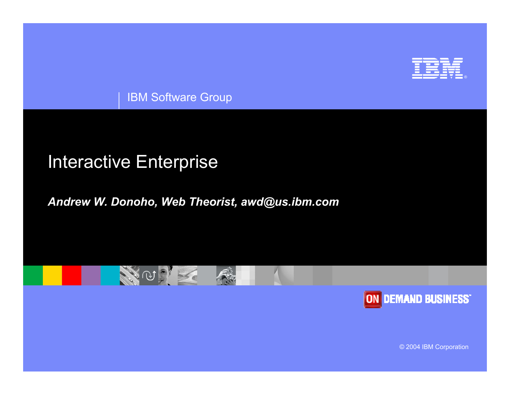

IBM Software Group

#### Interactive Enterprise

#### *Andrew W. Donoho, Web Theorist, awd@us.ibm.com*





© 2004 IBM Corporation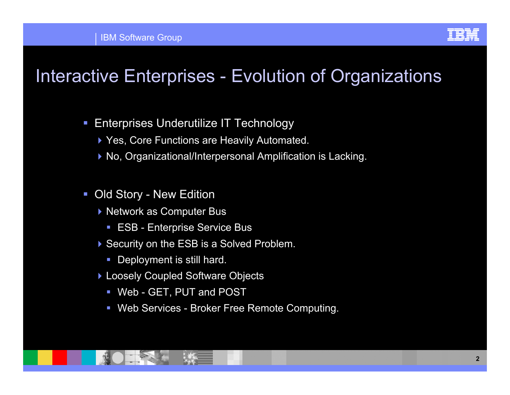

### Interactive Enterprises - Evolution of Organizations

- $\mathcal{L}_{\mathcal{A}}$  Enterprises Underutilize IT Technology
	- ▶ Yes, Core Functions are Heavily Automated.
	- ▶ No, Organizational/Interpersonal Amplification is Lacking.
- $\mathcal{L}_{\mathcal{A}}$  Old Story - New Edition
	- ▶ Network as Computer Bus
		- $\overline{\phantom{a}}$ ESB - Enterprise Service Bus
	- ▶ Security on the ESB is a Solved Problem.
		- П Deployment is still hard.
	- ▶ Loosely Coupled Software Objects
		- Web GET, PUT and POST
		- $\mathcal{L}_{\mathcal{A}}$ Web Services - Broker Free Remote Computing.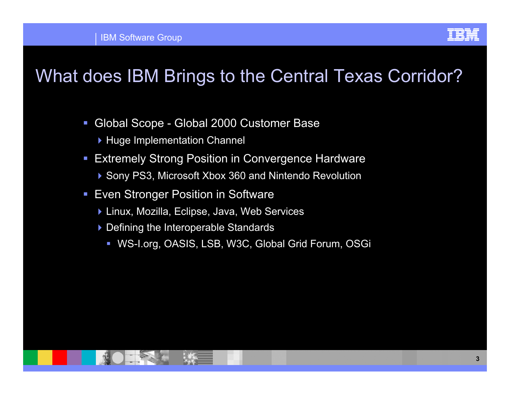

#### What does IBM Brings to the Central Texas Corridor?

- $\mathcal{L}_{\mathcal{A}}$  Global Scope - Global 2000 Customer Base
	- ▶ Huge Implementation Channel
- $\mathcal{L}_{\mathcal{A}}$  Extremely Strong Position in Convergence Hardware
	- ▶ Sony PS3, Microsoft Xbox 360 and Nintendo Revolution
- $\mathcal{L}_{\mathcal{A}}$  Even Stronger Position in Software
	- ▶ Linux, Mozilla, Eclipse, Java, Web Services
	- ▶ Defining the Interoperable Standards
		- $\Box$ WS-I.org, OASIS, LSB, W3C, Global Grid Forum, OSGi